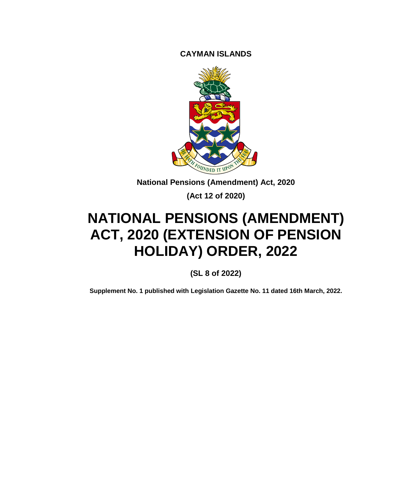**CAYMAN ISLANDS**



**National Pensions (Amendment) Act, 2020**

**(Act 12 of 2020)**

# **NATIONAL PENSIONS (AMENDMENT) ACT, 2020 (EXTENSION OF PENSION HOLIDAY) ORDER, 2022**

**(SL 8 of 2022)**

**Supplement No. 1 published with Legislation Gazette No. 11 dated 16th March, 2022.**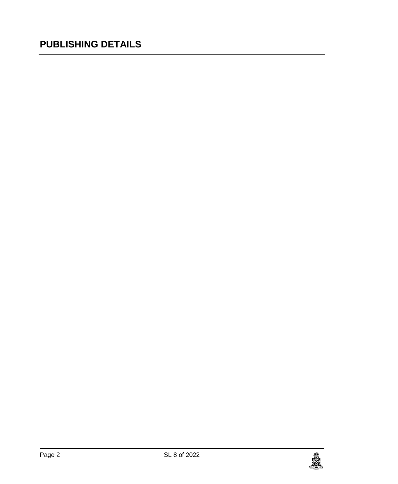### **PUBLISHING DETAILS**

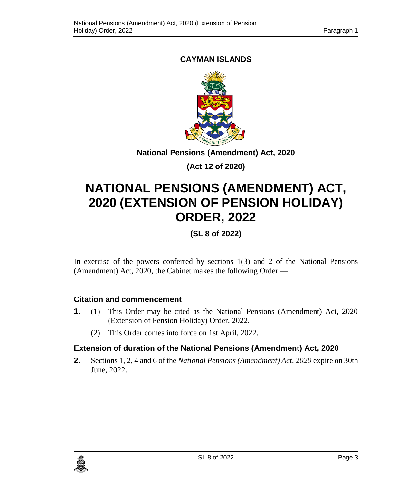#### **CAYMAN ISLANDS**



**National Pensions (Amendment) Act, 2020**

**(Act 12 of 2020)**

## **NATIONAL PENSIONS (AMENDMENT) ACT, 2020 (EXTENSION OF PENSION HOLIDAY) ORDER, 2022**

**(SL 8 of 2022)**

In exercise of the powers conferred by sections 1(3) and 2 of the National Pensions (Amendment) Act, 2020, the Cabinet makes the following Order —

#### **1. Citation and commencement**

- **1**. (1) This Order may be cited as the National Pensions (Amendment) Act, 2020 (Extension of Pension Holiday) Order, 2022.
	- (2) This Order comes into force on 1st April, 2022.

#### **2. Extension of duration of the National Pensions (Amendment) Act, 2020**

**2**. Sections 1, 2, 4 and 6 of the *National Pensions (Amendment) Act, 2020* expire on 30th June, 2022.